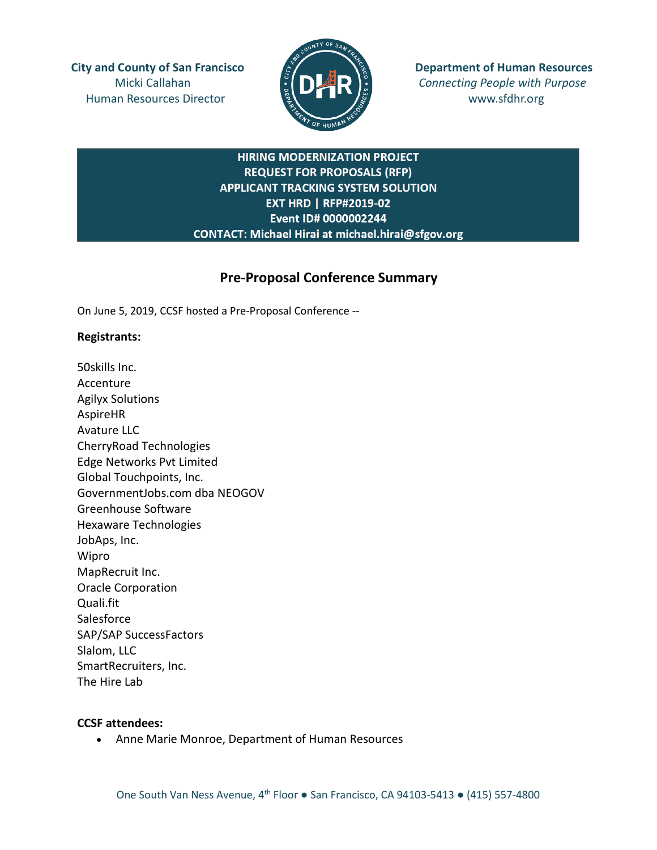Human Resources Director  $\frac{m}{2}$  **Here**  $\frac{m}{2}$  www.sfdhr.org



**City and County of San Francisco**  $\mathbb{E}$   $\mathbb{E}$   $\mathbb{E}$  **Department of Human Resources** Micki Callahan **Connecting People with Purpose** 

# **HIRING MODERNIZATION PROJECT REQUEST FOR PROPOSALS (RFP) APPLICANT TRACKING SYSTEM SOLUTION EXT HRD | RFP#2019-02** Event ID# 0000002244 CONTACT: Michael Hirai at michael.hirai@sfgov.org

# **Pre-Proposal Conference Summary**

On June 5, 2019, CCSF hosted a Pre-Proposal Conference --

## **Registrants:**

50skills Inc. Accenture Agilyx Solutions AspireHR Avature LLC CherryRoad Technologies Edge Networks Pvt Limited Global Touchpoints, Inc. GovernmentJobs.com dba NEOGOV Greenhouse Software Hexaware Technologies JobAps, Inc. Wipro MapRecruit Inc. Oracle Corporation Quali.fit **Salesforce** SAP/SAP SuccessFactors Slalom, LLC SmartRecruiters, Inc. The Hire Lab

## **CCSF attendees:**

• Anne Marie Monroe, Department of Human Resources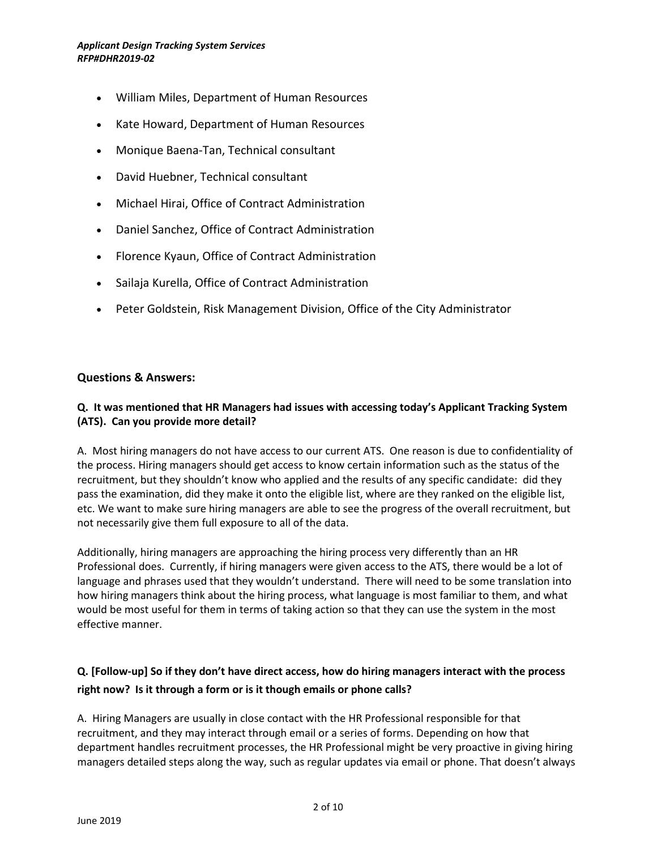#### *Applicant Design Tracking System Services RFP#DHR2019-02*

- William Miles, Department of Human Resources
- Kate Howard, Department of Human Resources
- Monique Baena-Tan, Technical consultant
- David Huebner, Technical consultant
- Michael Hirai, Office of Contract Administration
- Daniel Sanchez, Office of Contract Administration
- Florence Kyaun, Office of Contract Administration
- Sailaja Kurella, Office of Contract Administration
- Peter Goldstein, Risk Management Division, Office of the City Administrator

## **Questions & Answers:**

## **Q. It was mentioned that HR Managers had issues with accessing today's Applicant Tracking System (ATS). Can you provide more detail?**

A. Most hiring managers do not have access to our current ATS. One reason is due to confidentiality of the process. Hiring managers should get access to know certain information such as the status of the recruitment, but they shouldn't know who applied and the results of any specific candidate: did they pass the examination, did they make it onto the eligible list, where are they ranked on the eligible list, etc. We want to make sure hiring managers are able to see the progress of the overall recruitment, but not necessarily give them full exposure to all of the data.

Additionally, hiring managers are approaching the hiring process very differently than an HR Professional does. Currently, if hiring managers were given access to the ATS, there would be a lot of language and phrases used that they wouldn't understand. There will need to be some translation into how hiring managers think about the hiring process, what language is most familiar to them, and what would be most useful for them in terms of taking action so that they can use the system in the most effective manner.

# **Q. [Follow-up] So if they don't have direct access, how do hiring managers interact with the process right now? Is it through a form or is it though emails or phone calls?**

A. Hiring Managers are usually in close contact with the HR Professional responsible for that recruitment, and they may interact through email or a series of forms. Depending on how that department handles recruitment processes, the HR Professional might be very proactive in giving hiring managers detailed steps along the way, such as regular updates via email or phone. That doesn't always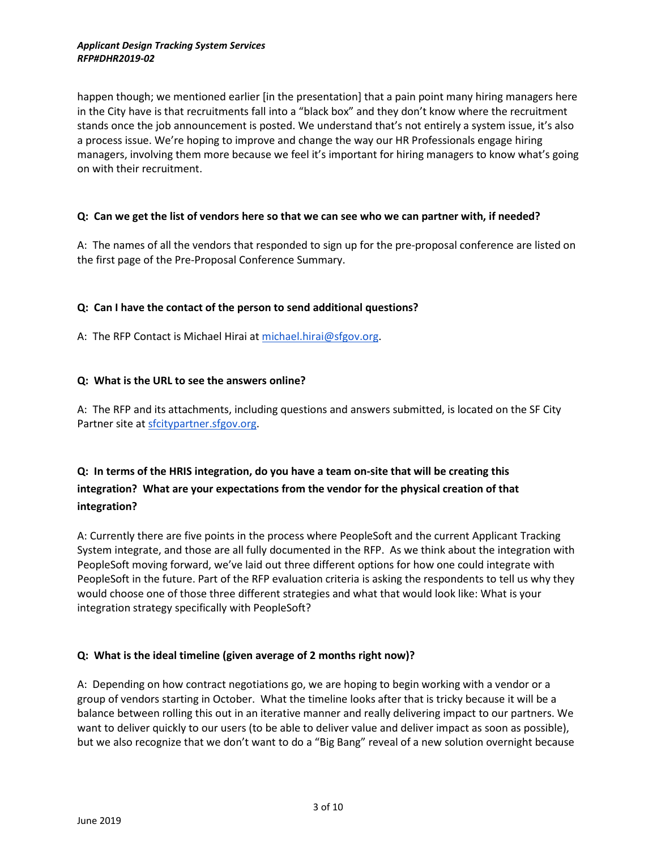#### *Applicant Design Tracking System Services RFP#DHR2019-02*

happen though; we mentioned earlier [in the presentation] that a pain point many hiring managers here in the City have is that recruitments fall into a "black box" and they don't know where the recruitment stands once the job announcement is posted. We understand that's not entirely a system issue, it's also a process issue. We're hoping to improve and change the way our HR Professionals engage hiring managers, involving them more because we feel it's important for hiring managers to know what's going on with their recruitment.

### **Q: Can we get the list of vendors here so that we can see who we can partner with, if needed?**

A: The names of all the vendors that responded to sign up for the pre-proposal conference are listed on the first page of the Pre-Proposal Conference Summary.

## **Q: Can I have the contact of the person to send additional questions?**

A: The RFP Contact is Michael Hirai at [michael.hirai@sfgov.org.](mailto:michael.hirai@sfgov.org)

### **Q: What is the URL to see the answers online?**

A: The RFP and its attachments, including questions and answers submitted, is located on the SF City Partner site at [sfcitypartner.sfgov.org.](https://sfcitypartner.sfgov.org/)

# **Q: In terms of the HRIS integration, do you have a team on-site that will be creating this integration? What are your expectations from the vendor for the physical creation of that integration?**

A: Currently there are five points in the process where PeopleSoft and the current Applicant Tracking System integrate, and those are all fully documented in the RFP. As we think about the integration with PeopleSoft moving forward, we've laid out three different options for how one could integrate with PeopleSoft in the future. Part of the RFP evaluation criteria is asking the respondents to tell us why they would choose one of those three different strategies and what that would look like: What is your integration strategy specifically with PeopleSoft?

### **Q: What is the ideal timeline (given average of 2 months right now)?**

A: Depending on how contract negotiations go, we are hoping to begin working with a vendor or a group of vendors starting in October. What the timeline looks after that is tricky because it will be a balance between rolling this out in an iterative manner and really delivering impact to our partners. We want to deliver quickly to our users (to be able to deliver value and deliver impact as soon as possible), but we also recognize that we don't want to do a "Big Bang" reveal of a new solution overnight because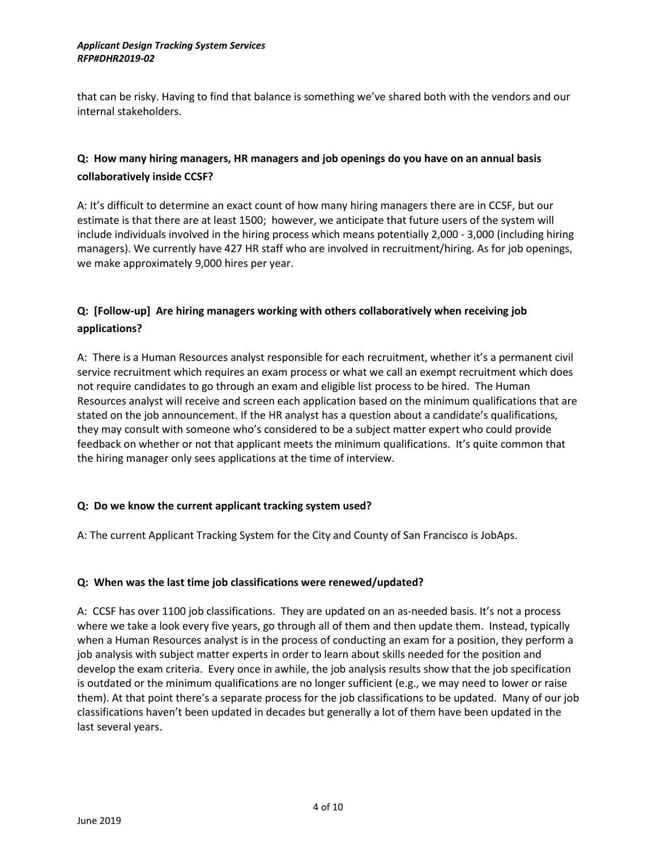that can be risky. Having to find that balance is something we've shared both with the vendors and our internal stakeholders.

# **Q: How many hiring managers, HR managers and job openings do you have on an annual basis collaboratively inside CCSF?**

A: It's difficult to determine an exact count of how many hiring managers there are in CCSF, but our estimate is that there are at least 1500; however, we anticipate that future users of the system will include individuals involved in the hiring process which means potentially 2,000 - 3,000 (including hiring managers). We currently have 427 HR staff who are involved in recruitment/hiring. As for job openings, we make approximately 9,000 hires per year.

# **Q: [Follow-up] Are hiring managers working with others collaboratively when receiving job applications?**

A: There is a Human Resources analyst responsible for each recruitment, whether it's a permanent civil service recruitment which requires an exam process or what we call an exempt recruitment which does not require candidates to go through an exam and eligible list process to be hired. The Human Resources analyst will receive and screen each application based on the minimum qualifications that are stated on the job announcement. If the HR analyst has a question about a candidate's qualifications, they may consult with someone who's considered to be a subject matter expert who could provide feedback on whether or not that applicant meets the minimum qualifications. It's quite common that the hiring manager only sees applications at the time of interview.

## **Q: Do we know the current applicant tracking system used?**

A: The current Applicant Tracking System for the City and County of San Francisco is JobAps.

### **Q: When was the last time job classifications were renewed/updated?**

A: CCSF has over 1100 job classifications. They are updated on an as-needed basis. It's not a process where we take a look every five years, go through all of them and then update them. Instead, typically when a Human Resources analyst is in the process of conducting an exam for a position, they perform a job analysis with subject matter experts in order to learn about skills needed for the position and develop the exam criteria. Every once in awhile, the job analysis results show that the job specification is outdated or the minimum qualifications are no longer sufficient (e.g., we may need to lower or raise them). At that point there's a separate process for the job classifications to be updated. Many of our job classifications haven't been updated in decades but generally a lot of them have been updated in the last several years.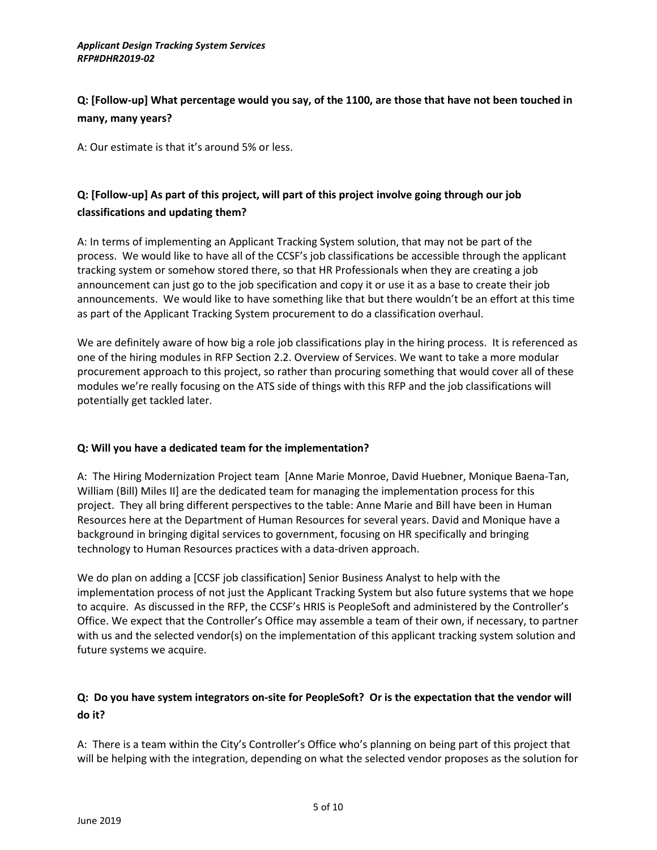# **Q: [Follow-up] What percentage would you say, of the 1100, are those that have not been touched in many, many years?**

A: Our estimate is that it's around 5% or less.

# **Q: [Follow-up] As part of this project, will part of this project involve going through our job classifications and updating them?**

A: In terms of implementing an Applicant Tracking System solution, that may not be part of the process. We would like to have all of the CCSF's job classifications be accessible through the applicant tracking system or somehow stored there, so that HR Professionals when they are creating a job announcement can just go to the job specification and copy it or use it as a base to create their job announcements. We would like to have something like that but there wouldn't be an effort at this time as part of the Applicant Tracking System procurement to do a classification overhaul.

We are definitely aware of how big a role job classifications play in the hiring process. It is referenced as one of the hiring modules in RFP Section 2.2. Overview of Services. We want to take a more modular procurement approach to this project, so rather than procuring something that would cover all of these modules we're really focusing on the ATS side of things with this RFP and the job classifications will potentially get tackled later.

## **Q: Will you have a dedicated team for the implementation?**

A: The Hiring Modernization Project team [Anne Marie Monroe, David Huebner, Monique Baena-Tan, William (Bill) Miles II] are the dedicated team for managing the implementation process for this project. They all bring different perspectives to the table: Anne Marie and Bill have been in Human Resources here at the Department of Human Resources for several years. David and Monique have a background in bringing digital services to government, focusing on HR specifically and bringing technology to Human Resources practices with a data-driven approach.

We do plan on adding a [CCSF job classification] Senior Business Analyst to help with the implementation process of not just the Applicant Tracking System but also future systems that we hope to acquire. As discussed in the RFP, the CCSF's HRIS is PeopleSoft and administered by the Controller's Office. We expect that the Controller's Office may assemble a team of their own, if necessary, to partner with us and the selected vendor(s) on the implementation of this applicant tracking system solution and future systems we acquire.

# **Q: Do you have system integrators on-site for PeopleSoft? Or is the expectation that the vendor will do it?**

A: There is a team within the City's Controller's Office who's planning on being part of this project that will be helping with the integration, depending on what the selected vendor proposes as the solution for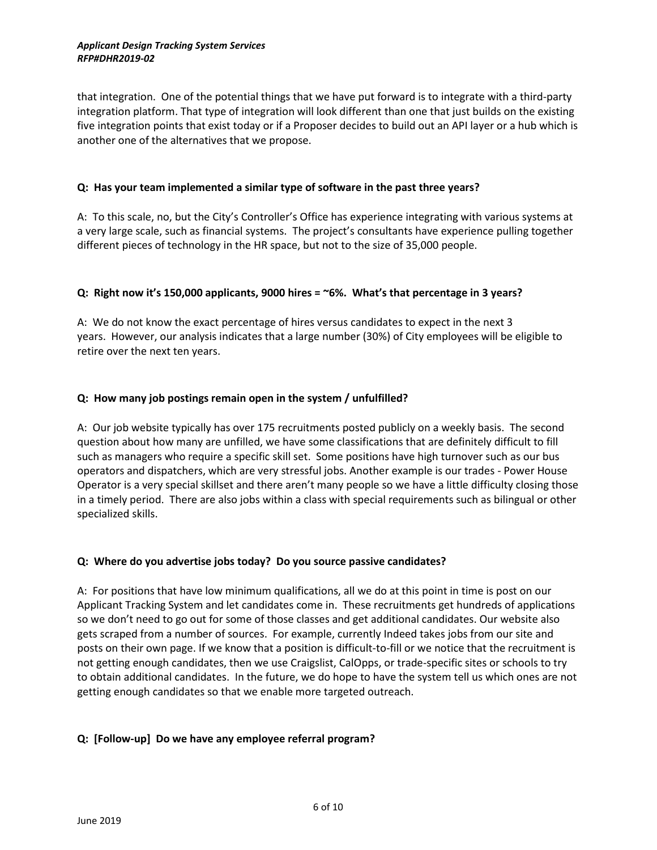#### *Applicant Design Tracking System Services RFP#DHR2019-02*

that integration. One of the potential things that we have put forward is to integrate with a third-party integration platform. That type of integration will look different than one that just builds on the existing five integration points that exist today or if a Proposer decides to build out an API layer or a hub which is another one of the alternatives that we propose.

### **Q: Has your team implemented a similar type of software in the past three years?**

A: To this scale, no, but the City's Controller's Office has experience integrating with various systems at a very large scale, such as financial systems. The project's consultants have experience pulling together different pieces of technology in the HR space, but not to the size of 35,000 people.

## **Q: Right now it's 150,000 applicants, 9000 hires = ~6%. What's that percentage in 3 years?**

A: We do not know the exact percentage of hires versus candidates to expect in the next 3 years. However, our analysis indicates that a large number (30%) of City employees will be eligible to retire over the next ten years.

## **Q: How many job postings remain open in the system / unfulfilled?**

A: Our job website typically has over 175 recruitments posted publicly on a weekly basis. The second question about how many are unfilled, we have some classifications that are definitely difficult to fill such as managers who require a specific skill set. Some positions have high turnover such as our bus operators and dispatchers, which are very stressful jobs. Another example is our trades - Power House Operator is a very special skillset and there aren't many people so we have a little difficulty closing those in a timely period. There are also jobs within a class with special requirements such as bilingual or other specialized skills.

### **Q: Where do you advertise jobs today? Do you source passive candidates?**

A: For positions that have low minimum qualifications, all we do at this point in time is post on our Applicant Tracking System and let candidates come in. These recruitments get hundreds of applications so we don't need to go out for some of those classes and get additional candidates. Our website also gets scraped from a number of sources. For example, currently Indeed takes jobs from our site and posts on their own page. If we know that a position is difficult-to-fill or we notice that the recruitment is not getting enough candidates, then we use Craigslist, CalOpps, or trade-specific sites or schools to try to obtain additional candidates. In the future, we do hope to have the system tell us which ones are not getting enough candidates so that we enable more targeted outreach.

### **Q: [Follow-up] Do we have any employee referral program?**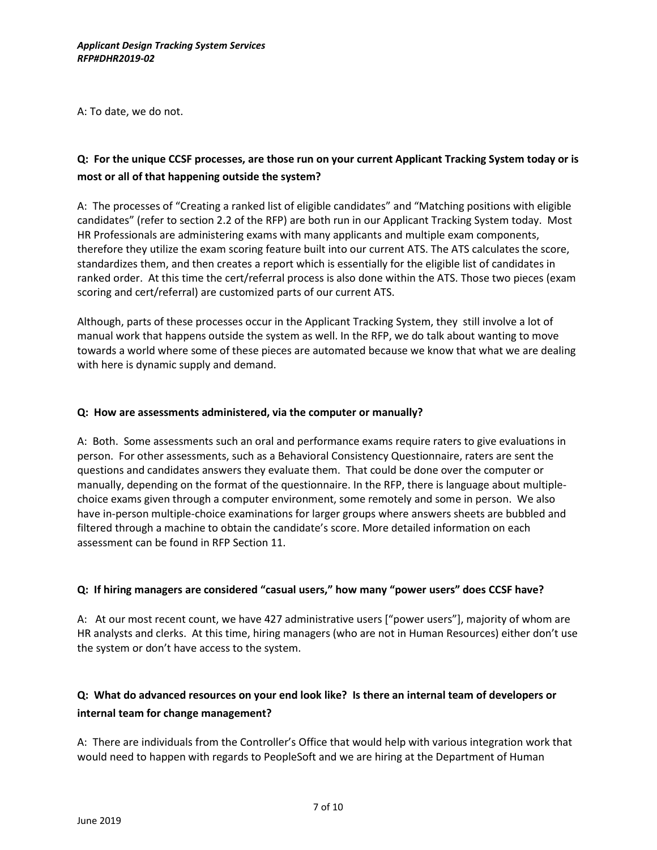A: To date, we do not.

# **Q: For the unique CCSF processes, are those run on your current Applicant Tracking System today or is most or all of that happening outside the system?**

A: The processes of "Creating a ranked list of eligible candidates" and "Matching positions with eligible candidates" (refer to section 2.2 of the RFP) are both run in our Applicant Tracking System today. Most HR Professionals are administering exams with many applicants and multiple exam components, therefore they utilize the exam scoring feature built into our current ATS. The ATS calculates the score, standardizes them, and then creates a report which is essentially for the eligible list of candidates in ranked order. At this time the cert/referral process is also done within the ATS. Those two pieces (exam scoring and cert/referral) are customized parts of our current ATS.

Although, parts of these processes occur in the Applicant Tracking System, they still involve a lot of manual work that happens outside the system as well. In the RFP, we do talk about wanting to move towards a world where some of these pieces are automated because we know that what we are dealing with here is dynamic supply and demand.

### **Q: How are assessments administered, via the computer or manually?**

A: Both. Some assessments such an oral and performance exams require raters to give evaluations in person. For other assessments, such as a Behavioral Consistency Questionnaire, raters are sent the questions and candidates answers they evaluate them. That could be done over the computer or manually, depending on the format of the questionnaire. In the RFP, there is language about multiplechoice exams given through a computer environment, some remotely and some in person. We also have in-person multiple-choice examinations for larger groups where answers sheets are bubbled and filtered through a machine to obtain the candidate's score. More detailed information on each assessment can be found in RFP Section 11.

### **Q: If hiring managers are considered "casual users," how many "power users" does CCSF have?**

A: At our most recent count, we have 427 administrative users ["power users"], majority of whom are HR analysts and clerks. At this time, hiring managers (who are not in Human Resources) either don't use the system or don't have access to the system.

# **Q: What do advanced resources on your end look like? Is there an internal team of developers or internal team for change management?**

A: There are individuals from the Controller's Office that would help with various integration work that would need to happen with regards to PeopleSoft and we are hiring at the Department of Human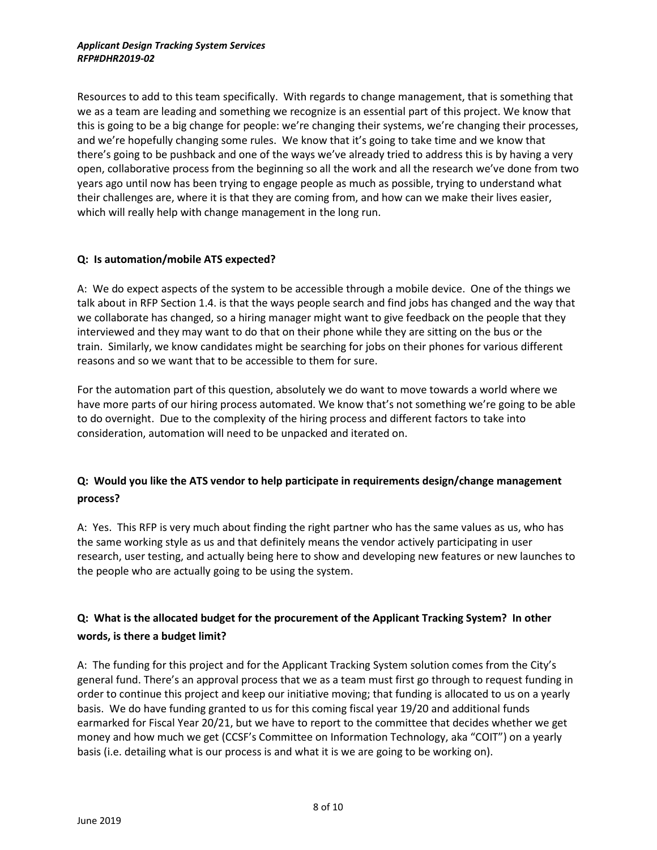Resources to add to this team specifically. With regards to change management, that is something that we as a team are leading and something we recognize is an essential part of this project. We know that this is going to be a big change for people: we're changing their systems, we're changing their processes, and we're hopefully changing some rules. We know that it's going to take time and we know that there's going to be pushback and one of the ways we've already tried to address this is by having a very open, collaborative process from the beginning so all the work and all the research we've done from two years ago until now has been trying to engage people as much as possible, trying to understand what their challenges are, where it is that they are coming from, and how can we make their lives easier, which will really help with change management in the long run.

## **Q: Is automation/mobile ATS expected?**

A: We do expect aspects of the system to be accessible through a mobile device. One of the things we talk about in RFP Section 1.4. is that the ways people search and find jobs has changed and the way that we collaborate has changed, so a hiring manager might want to give feedback on the people that they interviewed and they may want to do that on their phone while they are sitting on the bus or the train. Similarly, we know candidates might be searching for jobs on their phones for various different reasons and so we want that to be accessible to them for sure.

For the automation part of this question, absolutely we do want to move towards a world where we have more parts of our hiring process automated. We know that's not something we're going to be able to do overnight. Due to the complexity of the hiring process and different factors to take into consideration, automation will need to be unpacked and iterated on.

# **Q: Would you like the ATS vendor to help participate in requirements design/change management process?**

A: Yes. This RFP is very much about finding the right partner who has the same values as us, who has the same working style as us and that definitely means the vendor actively participating in user research, user testing, and actually being here to show and developing new features or new launches to the people who are actually going to be using the system.

# **Q: What is the allocated budget for the procurement of the Applicant Tracking System? In other words, is there a budget limit?**

A: The funding for this project and for the Applicant Tracking System solution comes from the City's general fund. There's an approval process that we as a team must first go through to request funding in order to continue this project and keep our initiative moving; that funding is allocated to us on a yearly basis. We do have funding granted to us for this coming fiscal year 19/20 and additional funds earmarked for Fiscal Year 20/21, but we have to report to the committee that decides whether we get money and how much we get (CCSF's Committee on Information Technology, aka "COIT") on a yearly basis (i.e. detailing what is our process is and what it is we are going to be working on).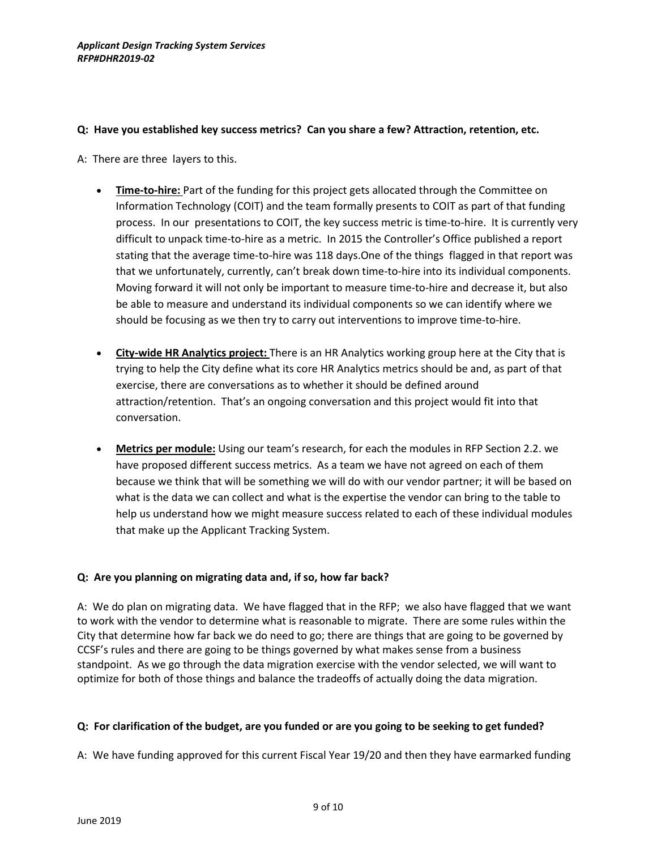### **Q: Have you established key success metrics? Can you share a few? Attraction, retention, etc.**

- A: There are three layers to this.
	- **Time-to-hire:** Part of the funding for this project gets allocated through the Committee on Information Technology (COIT) and the team formally presents to COIT as part of that funding process. In our presentations to COIT, the key success metric is time-to-hire. It is currently very difficult to unpack time-to-hire as a metric. In 2015 the Controller's Office published a report stating that the average time-to-hire was 118 days.One of the things flagged in that report was that we unfortunately, currently, can't break down time-to-hire into its individual components. Moving forward it will not only be important to measure time-to-hire and decrease it, but also be able to measure and understand its individual components so we can identify where we should be focusing as we then try to carry out interventions to improve time-to-hire.
	- **City-wide HR Analytics project:** There is an HR Analytics working group here at the City that is trying to help the City define what its core HR Analytics metrics should be and, as part of that exercise, there are conversations as to whether it should be defined around attraction/retention. That's an ongoing conversation and this project would fit into that conversation.
	- **Metrics per module:** Using our team's research, for each the modules in RFP Section 2.2. we have proposed different success metrics. As a team we have not agreed on each of them because we think that will be something we will do with our vendor partner; it will be based on what is the data we can collect and what is the expertise the vendor can bring to the table to help us understand how we might measure success related to each of these individual modules that make up the Applicant Tracking System.

## **Q: Are you planning on migrating data and, if so, how far back?**

A: We do plan on migrating data. We have flagged that in the RFP; we also have flagged that we want to work with the vendor to determine what is reasonable to migrate. There are some rules within the City that determine how far back we do need to go; there are things that are going to be governed by CCSF's rules and there are going to be things governed by what makes sense from a business standpoint. As we go through the data migration exercise with the vendor selected, we will want to optimize for both of those things and balance the tradeoffs of actually doing the data migration.

## **Q: For clarification of the budget, are you funded or are you going to be seeking to get funded?**

A: We have funding approved for this current Fiscal Year 19/20 and then they have earmarked funding